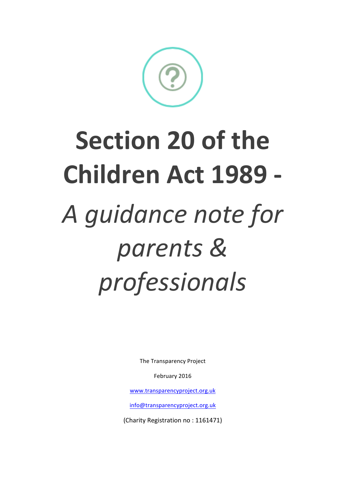The Transparency Project

February 2016

www.transparencyproject.org.uk

info@transparencyproject.org.uk 

(Charity Registration no: 1161471)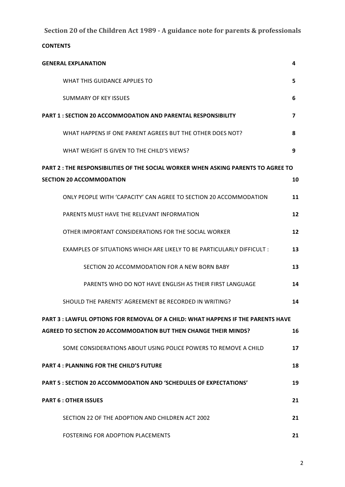| <b>GENERAL EXPLANATION</b>                                                               | 4              |
|------------------------------------------------------------------------------------------|----------------|
| WHAT THIS GUIDANCE APPLIES TO                                                            | 5              |
| <b>SUMMARY OF KEY ISSUES</b>                                                             | 6              |
| <b>PART 1: SECTION 20 ACCOMMODATION AND PARENTAL RESPONSIBILITY</b>                      | $\overline{ }$ |
| WHAT HAPPENS IF ONE PARENT AGREES BUT THE OTHER DOES NOT?                                | 8              |
| WHAT WEIGHT IS GIVEN TO THE CHILD'S VIEWS?                                               | 9              |
| <b>PART 2: THE RESPONSIBILITIES OF THE SOCIAL WORKER WHEN ASKING PARENTS TO AGREE TO</b> |                |
| <b>SECTION 20 ACCOMMODATION</b>                                                          | 10             |
| ONLY PEOPLE WITH 'CAPACITY' CAN AGREE TO SECTION 20 ACCOMMODATION                        | 11             |
| PARENTS MUST HAVE THE RELEVANT INFORMATION                                               | 12             |
| OTHER IMPORTANT CONSIDERATIONS FOR THE SOCIAL WORKER                                     | 12             |
| EXAMPLES OF SITUATIONS WHICH ARE LIKELY TO BE PARTICULARLY DIFFICULT :                   | 13             |
| SECTION 20 ACCOMMODATION FOR A NEW BORN BABY                                             | 13             |
| PARENTS WHO DO NOT HAVE ENGLISH AS THEIR FIRST LANGUAGE                                  | 14             |
| SHOULD THE PARENTS' AGREEMENT BE RECORDED IN WRITING?                                    | 14             |
| <b>PART 3 : LAWFUL OPTIONS FOR REMOVAL OF A CHILD: WHAT HAPPENS IF THE PARENTS HAVE</b>  |                |
| <b>AGREED TO SECTION 20 ACCOMMODATION BUT THEN CHANGE THEIR MINDS?</b>                   | 16             |
| SOME CONSIDERATIONS ABOUT USING POLICE POWERS TO REMOVE A CHILD                          | 17             |
| <b>PART 4: PLANNING FOR THE CHILD'S FUTURE</b>                                           | 18             |
| <b>PART 5: SECTION 20 ACCOMMODATION AND 'SCHEDULES OF EXPECTATIONS'</b>                  | 19             |
| <b>PART 6: OTHER ISSUES</b>                                                              | 21             |
| SECTION 22 OF THE ADOPTION AND CHILDREN ACT 2002                                         | 21             |
| FOSTERING FOR ADOPTION PLACEMENTS                                                        | 21             |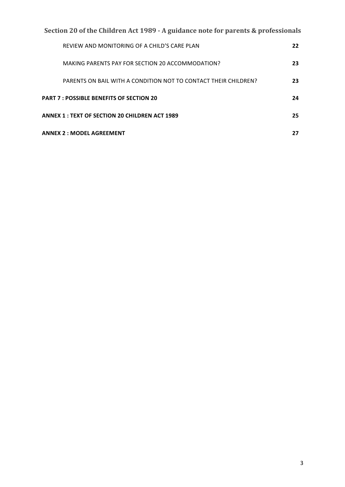| Section 20 of the Children Act 1989 - A guidance note for parents & professionals |    |  |
|-----------------------------------------------------------------------------------|----|--|
| REVIEW AND MONITORING OF A CHILD'S CARE PLAN                                      | 22 |  |
| MAKING PARENTS PAY FOR SECTION 20 ACCOMMODATION?                                  | 23 |  |
| PARENTS ON BAIL WITH A CONDITION NOT TO CONTACT THEIR CHILDREN?                   | 23 |  |
| <b>PART 7: POSSIBLE BENEFITS OF SECTION 20</b>                                    | 24 |  |
| <b>ANNEX 1 : TEXT OF SECTION 20 CHILDREN ACT 1989</b>                             | 25 |  |
| <b>ANNEX 2: MODEL AGREEMENT</b>                                                   | 27 |  |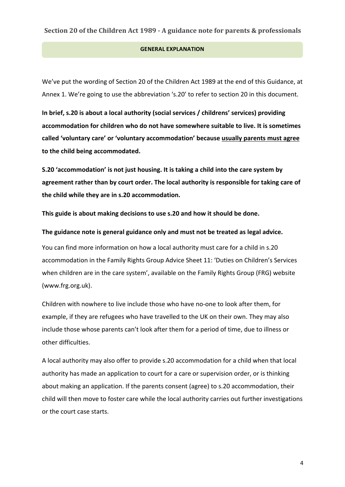#### **GENERAL EXPLANATION**

We've put the wording of Section 20 of the Children Act 1989 at the end of this Guidance, at Annex 1. We're going to use the abbreviation 's.20' to refer to section 20 in this document.

In brief, s.20 is about a local authority (social services / childrens' services) providing accommodation for children who do not have somewhere suitable to live. It is sometimes called 'voluntary care' or 'voluntary accommodation' because usually parents must agree to the child being accommodated.

S.20 'accommodation' is not just housing. It is taking a child into the care system by agreement rather than by court order. The local authority is responsible for taking care of the child while they are in s.20 accommodation.

This guide is about making decisions to use s.20 and how it should be done.

The guidance note is general guidance only and must not be treated as legal advice.

You can find more information on how a local authority must care for a child in s.20 accommodation in the Family Rights Group Advice Sheet 11: 'Duties on Children's Services when children are in the care system', available on the Family Rights Group (FRG) website (www.frg.org.uk). 

Children with nowhere to live include those who have no-one to look after them, for example, if they are refugees who have travelled to the UK on their own. They may also include those whose parents can't look after them for a period of time, due to illness or other difficulties.

A local authority may also offer to provide s.20 accommodation for a child when that local authority has made an application to court for a care or supervision order, or is thinking about making an application. If the parents consent (agree) to s.20 accommodation, their child will then move to foster care while the local authority carries out further investigations or the court case starts.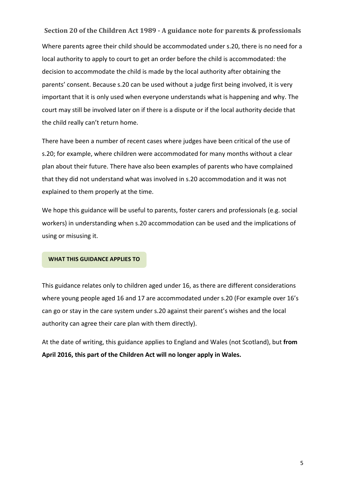**Section 20 of the Children Act 1989 - A guidance note for parents & professionals** Where parents agree their child should be accommodated under s.20, there is no need for a local authority to apply to court to get an order before the child is accommodated: the decision to accommodate the child is made by the local authority after obtaining the parents' consent. Because s.20 can be used without a judge first being involved, it is very important that it is only used when everyone understands what is happening and why. The court may still be involved later on if there is a dispute or if the local authority decide that the child really can't return home.

There have been a number of recent cases where judges have been critical of the use of s.20; for example, where children were accommodated for many months without a clear plan about their future. There have also been examples of parents who have complained that they did not understand what was involved in s.20 accommodation and it was not explained to them properly at the time.

We hope this guidance will be useful to parents, foster carers and professionals (e.g. social workers) in understanding when s.20 accommodation can be used and the implications of using or misusing it.

#### **WHAT THIS GUIDANCE APPLIES TO**

This guidance relates only to children aged under 16, as there are different considerations where young people aged 16 and 17 are accommodated under s.20 (For example over 16's can go or stay in the care system under s.20 against their parent's wishes and the local authority can agree their care plan with them directly).

At the date of writing, this guidance applies to England and Wales (not Scotland), but from April 2016, this part of the Children Act will no longer apply in Wales.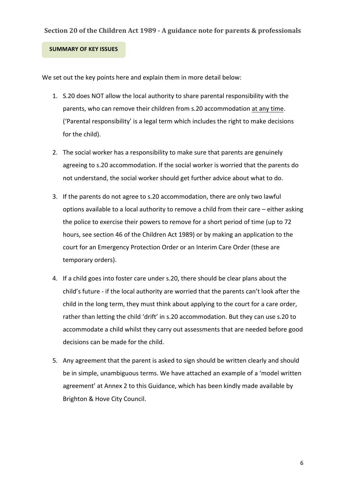#### **SUMMARY OF KEY ISSUES**

We set out the key points here and explain them in more detail below:

- 1. S.20 does NOT allow the local authority to share parental responsibility with the parents, who can remove their children from s.20 accommodation at any time. ('Parental responsibility' is a legal term which includes the right to make decisions for the child).
- 2. The social worker has a responsibility to make sure that parents are genuinely agreeing to s.20 accommodation. If the social worker is worried that the parents do not understand, the social worker should get further advice about what to do.
- 3. If the parents do not agree to s.20 accommodation, there are only two lawful options available to a local authority to remove a child from their care – either asking the police to exercise their powers to remove for a short period of time (up to 72 hours, see section 46 of the Children Act 1989) or by making an application to the court for an Emergency Protection Order or an Interim Care Order (these are temporary orders).
- 4. If a child goes into foster care under s.20, there should be clear plans about the child's future - if the local authority are worried that the parents can't look after the child in the long term, they must think about applying to the court for a care order, rather than letting the child 'drift' in s.20 accommodation. But they can use s.20 to accommodate a child whilst they carry out assessments that are needed before good decisions can be made for the child.
- 5. Any agreement that the parent is asked to sign should be written clearly and should be in simple, unambiguous terms. We have attached an example of a 'model written agreement' at Annex 2 to this Guidance, which has been kindly made available by Brighton & Hove City Council.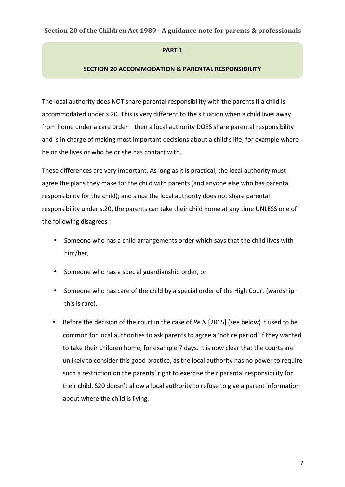#### **PART 1**

#### **SECTION 20 ACCOMMODATION & PARENTAL RESPONSIBILITY**

The local authority does NOT share parental responsibility with the parents if a child is accommodated under s.20. This is very different to the situation when a child lives away from home under a care order – then a local authority DOES share parental responsibility and is in charge of making most important decisions about a child's life; for example where he or she lives or who he or she has contact with.

These differences are very important. As long as it is practical, the local authority must agree the plans they make for the child with parents (and anyone else who has parental responsibility for the child); and since the local authority does not share parental responsibility under s.20, the parents can take their child home at any time UNLESS one of the following disagrees :

- Someone who has a child arrangements order which says that the child lives with him/her,
- Someone who has a special guardianship order, or
- Someone who has care of the child by a special order of the High Court (wardship this is rare).
- Before the decision of the court in the case of Re N [2015] (see below) it used to be common for local authorities to ask parents to agree a 'notice period' if they wanted to take their children home, for example 7 days. It is now clear that the courts are unlikely to consider this good practice, as the local authority has no power to require such a restriction on the parents' right to exercise their parental responsibility for their child. S20 doesn't allow a local authority to refuse to give a parent information about where the child is living.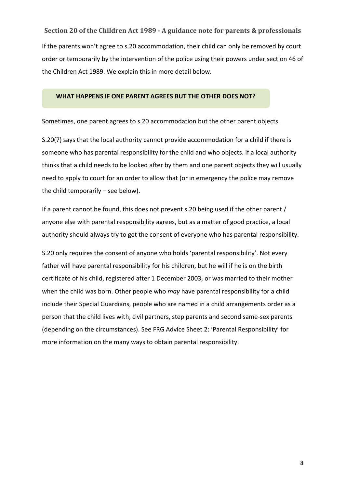**Section 20 of the Children Act 1989 - A guidance note for parents & professionals** If the parents won't agree to s.20 accommodation, their child can only be removed by court order or temporarily by the intervention of the police using their powers under section 46 of the Children Act 1989. We explain this in more detail below.

#### WHAT HAPPENS IF ONE PARENT AGREES BUT THE OTHER DOES NOT?

Sometimes, one parent agrees to s.20 accommodation but the other parent objects.

S.20(7) says that the local authority cannot provide accommodation for a child if there is someone who has parental responsibility for the child and who objects. If a local authority thinks that a child needs to be looked after by them and one parent objects they will usually need to apply to court for an order to allow that (or in emergency the police may remove the child temporarily  $-$  see below).

If a parent cannot be found, this does not prevent s.20 being used if the other parent / anyone else with parental responsibility agrees, but as a matter of good practice, a local authority should always try to get the consent of everyone who has parental responsibility.

S.20 only requires the consent of anyone who holds 'parental responsibility'. Not every father will have parental responsibility for his children, but he will if he is on the birth certificate of his child, registered after 1 December 2003, or was married to their mother when the child was born. Other people who *may* have parental responsibility for a child include their Special Guardians, people who are named in a child arrangements order as a person that the child lives with, civil partners, step parents and second same-sex parents (depending on the circumstances). See FRG Advice Sheet 2: 'Parental Responsibility' for more information on the many ways to obtain parental responsibility.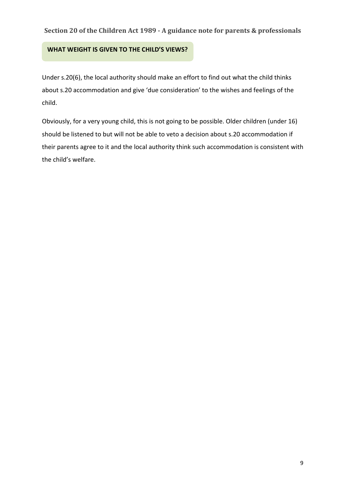### **WHAT WEIGHT IS GIVEN TO THE CHILD'S VIEWS?**

Under s.20(6), the local authority should make an effort to find out what the child thinks about s.20 accommodation and give 'due consideration' to the wishes and feelings of the child. 

Obviously, for a very young child, this is not going to be possible. Older children (under 16) should be listened to but will not be able to veto a decision about s.20 accommodation if their parents agree to it and the local authority think such accommodation is consistent with the child's welfare.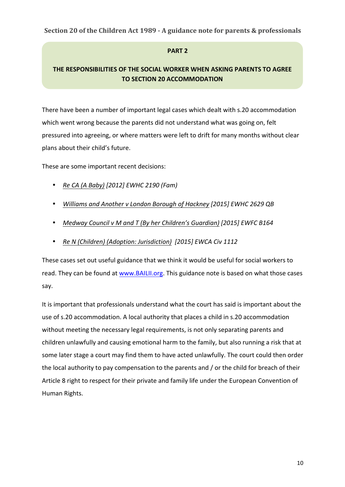# **PART 2**

# **THE RESPONSIBILITIES OF THE SOCIAL WORKER WHEN ASKING PARENTS TO AGREE TO SECTION 20 ACCOMMODATION**

There have been a number of important legal cases which dealt with s.20 accommodation which went wrong because the parents did not understand what was going on, felt pressured into agreeing, or where matters were left to drift for many months without clear plans about their child's future.

These are some important recent decisions:

- *Re CA* (A Baby) [2012] EWHC 2190 (Fam)
- *Williams and Another v London Borough of Hackney [2015] EWHC 2629 QB*
- Medway Council v M and T (By her Children's Guardian) [2015] EWFC B164
- Re N (Children) (Adoption: Jurisdiction) [2015] EWCA Civ 1112

These cases set out useful guidance that we think it would be useful for social workers to read. They can be found at www.BAILII.org. This guidance note is based on what those cases say. 

It is important that professionals understand what the court has said is important about the use of s.20 accommodation. A local authority that places a child in s.20 accommodation without meeting the necessary legal requirements, is not only separating parents and children unlawfully and causing emotional harm to the family, but also running a risk that at some later stage a court may find them to have acted unlawfully. The court could then order the local authority to pay compensation to the parents and / or the child for breach of their Article 8 right to respect for their private and family life under the European Convention of Human Rights.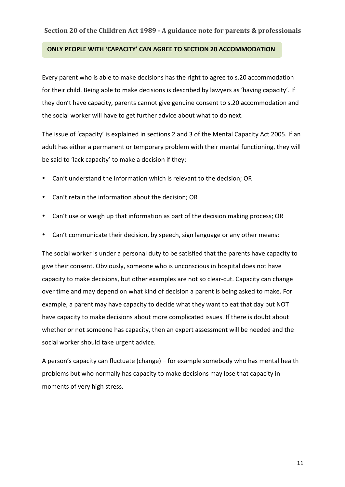#### **ONLY PEOPLE WITH 'CAPACITY' CAN AGREE TO SECTION 20 ACCOMMODATION**

Every parent who is able to make decisions has the right to agree to s.20 accommodation for their child. Being able to make decisions is described by lawyers as 'having capacity'. If they don't have capacity, parents cannot give genuine consent to s.20 accommodation and the social worker will have to get further advice about what to do next.

The issue of 'capacity' is explained in sections 2 and 3 of the Mental Capacity Act 2005. If an adult has either a permanent or temporary problem with their mental functioning, they will be said to 'lack capacity' to make a decision if they:

- Can't understand the information which is relevant to the decision; OR
- Can't retain the information about the decision; OR
- Can't use or weigh up that information as part of the decision making process; OR
- Can't communicate their decision, by speech, sign language or any other means;

The social worker is under a personal duty to be satisfied that the parents have capacity to give their consent. Obviously, someone who is unconscious in hospital does not have capacity to make decisions, but other examples are not so clear-cut. Capacity can change over time and may depend on what kind of decision a parent is being asked to make. For example, a parent may have capacity to decide what they want to eat that day but NOT have capacity to make decisions about more complicated issues. If there is doubt about whether or not someone has capacity, then an expert assessment will be needed and the social worker should take urgent advice.

A person's capacity can fluctuate (change) – for example somebody who has mental health problems but who normally has capacity to make decisions may lose that capacity in moments of very high stress.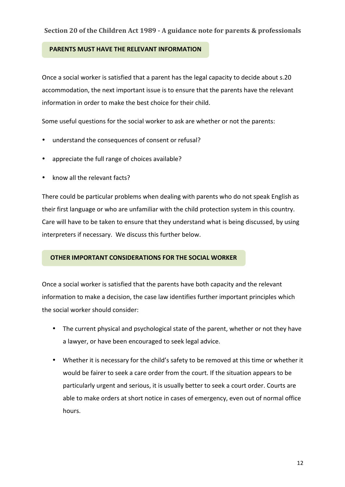#### **PARENTS MUST HAVE THE RELEVANT INFORMATION**

Once a social worker is satisfied that a parent has the legal capacity to decide about s.20 accommodation, the next important issue is to ensure that the parents have the relevant information in order to make the best choice for their child.

Some useful questions for the social worker to ask are whether or not the parents:

- understand the consequences of consent or refusal?
- appreciate the full range of choices available?
- know all the relevant facts?

There could be particular problems when dealing with parents who do not speak English as their first language or who are unfamiliar with the child protection system in this country. Care will have to be taken to ensure that they understand what is being discussed, by using interpreters if necessary. We discuss this further below.

### **OTHER IMPORTANT CONSIDERATIONS FOR THE SOCIAL WORKER**

Once a social worker is satisfied that the parents have both capacity and the relevant information to make a decision, the case law identifies further important principles which the social worker should consider:

- The current physical and psychological state of the parent, whether or not they have a lawyer, or have been encouraged to seek legal advice.
- Whether it is necessary for the child's safety to be removed at this time or whether it would be fairer to seek a care order from the court. If the situation appears to be particularly urgent and serious, it is usually better to seek a court order. Courts are able to make orders at short notice in cases of emergency, even out of normal office hours.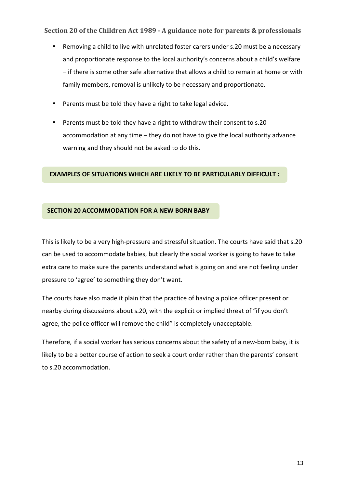- Removing a child to live with unrelated foster carers under s.20 must be a necessary and proportionate response to the local authority's concerns about a child's welfare - if there is some other safe alternative that allows a child to remain at home or with family members, removal is unlikely to be necessary and proportionate.
- Parents must be told they have a right to take legal advice.
- Parents must be told they have a right to withdraw their consent to s.20 accommodation at any time - they do not have to give the local authority advance warning and they should not be asked to do this.

### **EXAMPLES OF SITUATIONS WHICH ARE LIKELY TO BE PARTICULARLY DIFFICULT :**

#### **SECTION 20 ACCOMMODATION FOR A NEW BORN BABY**

This is likely to be a very high-pressure and stressful situation. The courts have said that s.20 can be used to accommodate babies, but clearly the social worker is going to have to take extra care to make sure the parents understand what is going on and are not feeling under pressure to 'agree' to something they don't want.

The courts have also made it plain that the practice of having a police officer present or nearby during discussions about s.20, with the explicit or implied threat of "if you don't agree, the police officer will remove the child" is completely unacceptable.

Therefore, if a social worker has serious concerns about the safety of a new-born baby, it is likely to be a better course of action to seek a court order rather than the parents' consent to s.20 accommodation.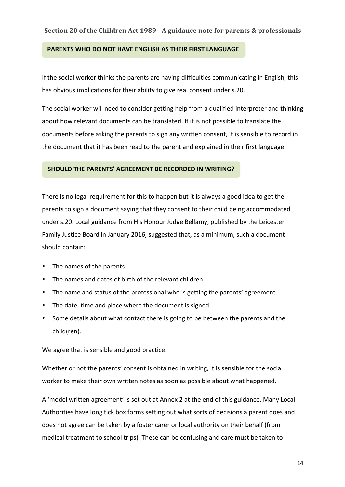#### **PARENTS WHO DO NOT HAVE ENGLISH AS THEIR FIRST LANGUAGE**

If the social worker thinks the parents are having difficulties communicating in English, this has obvious implications for their ability to give real consent under s.20.

The social worker will need to consider getting help from a qualified interpreter and thinking about how relevant documents can be translated. If it is not possible to translate the documents before asking the parents to sign any written consent, it is sensible to record in the document that it has been read to the parent and explained in their first language.

#### **SHOULD THE PARENTS' AGREEMENT BE RECORDED IN WRITING?**

There is no legal requirement for this to happen but it is always a good idea to get the parents to sign a document saying that they consent to their child being accommodated under s.20. Local guidance from His Honour Judge Bellamy, published by the Leicester Family Justice Board in January 2016, suggested that, as a minimum, such a document should contain:

- The names of the parents
- The names and dates of birth of the relevant children
- The name and status of the professional who is getting the parents' agreement
- The date, time and place where the document is signed
- Some details about what contact there is going to be between the parents and the child(ren).

We agree that is sensible and good practice.

Whether or not the parents' consent is obtained in writing, it is sensible for the social worker to make their own written notes as soon as possible about what happened.

A 'model written agreement' is set out at Annex 2 at the end of this guidance. Many Local Authorities have long tick box forms setting out what sorts of decisions a parent does and does not agree can be taken by a foster carer or local authority on their behalf (from medical treatment to school trips). These can be confusing and care must be taken to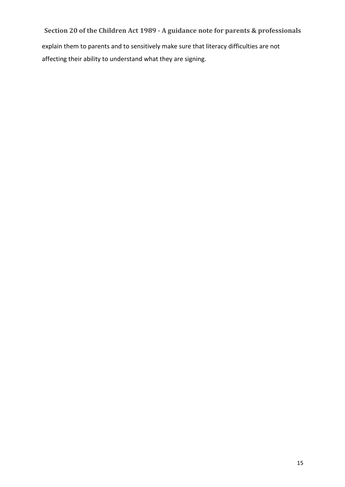explain them to parents and to sensitively make sure that literacy difficulties are not affecting their ability to understand what they are signing.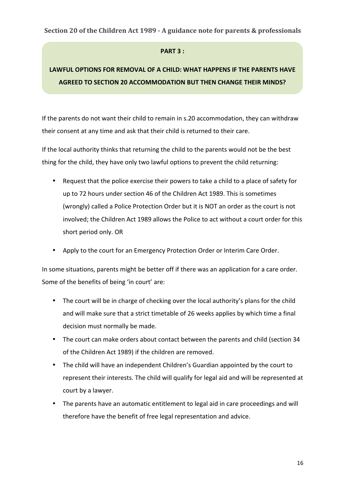#### **PART 3:**

# LAWFUL OPTIONS FOR REMOVAL OF A CHILD: WHAT HAPPENS IF THE PARENTS HAVE **AGREED TO SECTION 20 ACCOMMODATION BUT THEN CHANGE THEIR MINDS?**

If the parents do not want their child to remain in s.20 accommodation, they can withdraw their consent at any time and ask that their child is returned to their care.

If the local authority thinks that returning the child to the parents would not be the best thing for the child, they have only two lawful options to prevent the child returning:

- Request that the police exercise their powers to take a child to a place of safety for up to 72 hours under section 46 of the Children Act 1989. This is sometimes (wrongly) called a Police Protection Order but it is NOT an order as the court is not involved; the Children Act 1989 allows the Police to act without a court order for this short period only. OR
- Apply to the court for an Emergency Protection Order or Interim Care Order.

In some situations, parents might be better off if there was an application for a care order. Some of the benefits of being 'in court' are:

- The court will be in charge of checking over the local authority's plans for the child and will make sure that a strict timetable of 26 weeks applies by which time a final decision must normally be made.
- The court can make orders about contact between the parents and child (section 34 of the Children Act 1989) if the children are removed.
- The child will have an independent Children's Guardian appointed by the court to represent their interests. The child will qualify for legal aid and will be represented at court by a lawyer.
- The parents have an automatic entitlement to legal aid in care proceedings and will therefore have the benefit of free legal representation and advice.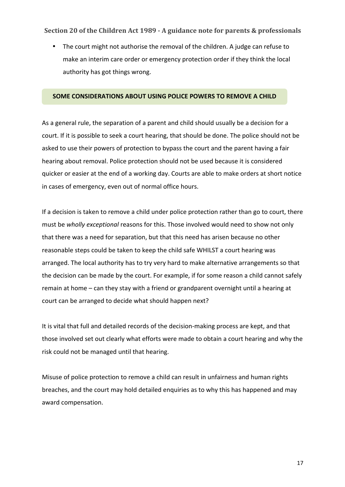• The court might not authorise the removal of the children. A judge can refuse to make an interim care order or emergency protection order if they think the local authority has got things wrong.

#### **SOME CONSIDERATIONS ABOUT USING POLICE POWERS TO REMOVE A CHILD**

As a general rule, the separation of a parent and child should usually be a decision for a court. If it is possible to seek a court hearing, that should be done. The police should not be asked to use their powers of protection to bypass the court and the parent having a fair hearing about removal. Police protection should not be used because it is considered quicker or easier at the end of a working day. Courts are able to make orders at short notice in cases of emergency, even out of normal office hours.

If a decision is taken to remove a child under police protection rather than go to court, there must be wholly exceptional reasons for this. Those involved would need to show not only that there was a need for separation, but that this need has arisen because no other reasonable steps could be taken to keep the child safe WHILST a court hearing was arranged. The local authority has to try very hard to make alternative arrangements so that the decision can be made by the court. For example, if for some reason a child cannot safely remain at home – can they stay with a friend or grandparent overnight until a hearing at court can be arranged to decide what should happen next?

It is vital that full and detailed records of the decision-making process are kept, and that those involved set out clearly what efforts were made to obtain a court hearing and why the risk could not be managed until that hearing.

Misuse of police protection to remove a child can result in unfairness and human rights breaches, and the court may hold detailed enquiries as to why this has happened and may award compensation.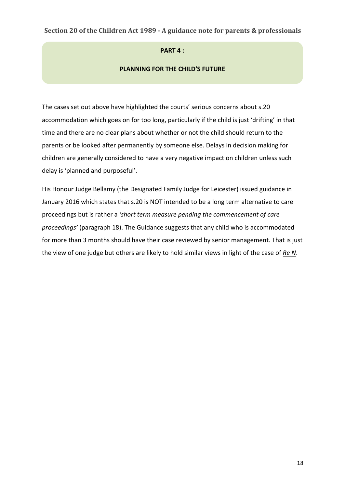#### **PART 4:**

#### **PLANNING FOR THE CHILD'S FUTURE**

The cases set out above have highlighted the courts' serious concerns about s.20 accommodation which goes on for too long, particularly if the child is just 'drifting' in that time and there are no clear plans about whether or not the child should return to the parents or be looked after permanently by someone else. Delays in decision making for children are generally considered to have a very negative impact on children unless such delay is 'planned and purposeful'.

His Honour Judge Bellamy (the Designated Family Judge for Leicester) issued guidance in January 2016 which states that s.20 is NOT intended to be a long term alternative to care proceedings but is rather a 'short term measure pending the commencement of care proceedings' (paragraph 18). The Guidance suggests that any child who is accommodated for more than 3 months should have their case reviewed by senior management. That is just the view of one judge but others are likely to hold similar views in light of the case of Re N.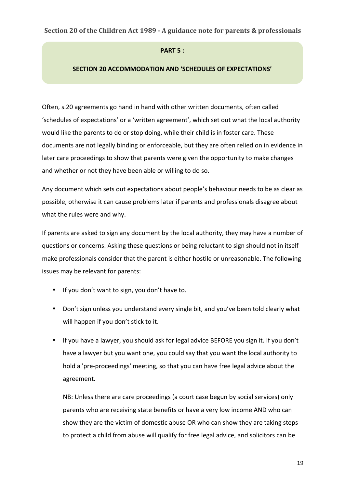#### **PART 5:**

#### **SECTION 20 ACCOMMODATION AND 'SCHEDULES OF EXPECTATIONS'**

Often, s.20 agreements go hand in hand with other written documents, often called 'schedules of expectations' or a 'written agreement', which set out what the local authority would like the parents to do or stop doing, while their child is in foster care. These documents are not legally binding or enforceable, but they are often relied on in evidence in later care proceedings to show that parents were given the opportunity to make changes and whether or not they have been able or willing to do so.

Any document which sets out expectations about people's behaviour needs to be as clear as possible, otherwise it can cause problems later if parents and professionals disagree about what the rules were and why.

If parents are asked to sign any document by the local authority, they may have a number of questions or concerns. Asking these questions or being reluctant to sign should not in itself make professionals consider that the parent is either hostile or unreasonable. The following issues may be relevant for parents:

- If you don't want to sign, you don't have to.
- Don't sign unless you understand every single bit, and you've been told clearly what will happen if you don't stick to it.
- If you have a lawyer, you should ask for legal advice BEFORE you sign it. If you don't have a lawyer but you want one, you could say that you want the local authority to hold a 'pre-proceedings' meeting, so that you can have free legal advice about the agreement.

NB: Unless there are care proceedings (a court case begun by social services) only parents who are receiving state benefits or have a very low income AND who can show they are the victim of domestic abuse OR who can show they are taking steps to protect a child from abuse will qualify for free legal advice, and solicitors can be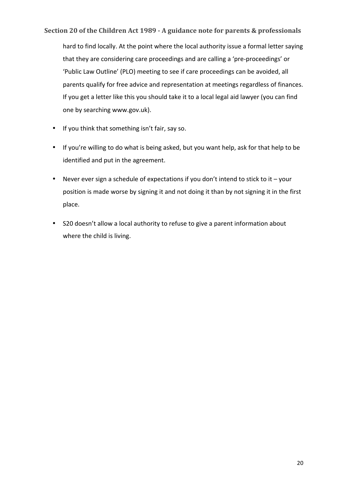hard to find locally. At the point where the local authority issue a formal letter saying that they are considering care proceedings and are calling a 'pre-proceedings' or 'Public Law Outline' (PLO) meeting to see if care proceedings can be avoided, all parents qualify for free advice and representation at meetings regardless of finances. If you get a letter like this you should take it to a local legal aid lawyer (you can find one by searching www.gov.uk).

- If you think that something isn't fair, say so.
- If you're willing to do what is being asked, but you want help, ask for that help to be identified and put in the agreement.
- Never ever sign a schedule of expectations if you don't intend to stick to it  $-$  your position is made worse by signing it and not doing it than by not signing it in the first place.
- S20 doesn't allow a local authority to refuse to give a parent information about where the child is living.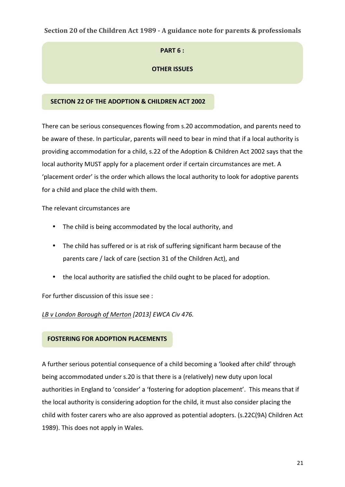# **PART 6:**

# **OTHER ISSUES**

# **SECTION 22 OF THE ADOPTION & CHILDREN ACT 2002**

There can be serious consequences flowing from s.20 accommodation, and parents need to be aware of these. In particular, parents will need to bear in mind that if a local authority is providing accommodation for a child, s.22 of the Adoption & Children Act 2002 says that the local authority MUST apply for a placement order if certain circumstances are met. A 'placement order' is the order which allows the local authority to look for adoptive parents for a child and place the child with them.

The relevant circumstances are

- The child is being accommodated by the local authority, and
- The child has suffered or is at risk of suffering significant harm because of the parents care / lack of care (section 31 of the Children Act), and
- the local authority are satisfied the child ought to be placed for adoption.

For further discussion of this issue see :

LB v London Borough of Merton [2013] EWCA Civ 476.

### **FOSTERING FOR ADOPTION PLACEMENTS**

A further serious potential consequence of a child becoming a 'looked after child' through being accommodated under s.20 is that there is a (relatively) new duty upon local authorities in England to 'consider' a 'fostering for adoption placement'. This means that if the local authority is considering adoption for the child, it must also consider placing the child with foster carers who are also approved as potential adopters. (s.22C(9A) Children Act 1989). This does not apply in Wales.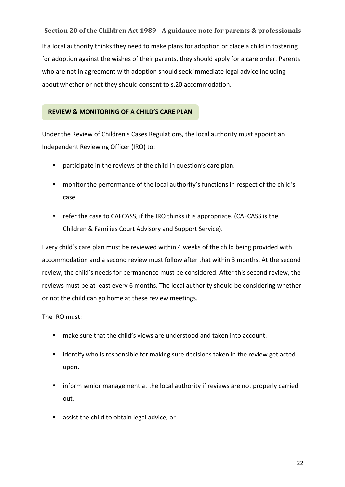**Section 20 of the Children Act 1989 - A guidance note for parents & professionals** If a local authority thinks they need to make plans for adoption or place a child in fostering for adoption against the wishes of their parents, they should apply for a care order. Parents who are not in agreement with adoption should seek immediate legal advice including about whether or not they should consent to s.20 accommodation.

### **REVIEW & MONITORING OF A CHILD'S CARE PLAN**

Under the Review of Children's Cases Regulations, the local authority must appoint an Independent Reviewing Officer (IRO) to:

- participate in the reviews of the child in question's care plan.
- monitor the performance of the local authority's functions in respect of the child's case
- refer the case to CAFCASS, if the IRO thinks it is appropriate. (CAFCASS is the Children & Families Court Advisory and Support Service).

Every child's care plan must be reviewed within 4 weeks of the child being provided with accommodation and a second review must follow after that within 3 months. At the second review, the child's needs for permanence must be considered. After this second review, the reviews must be at least every 6 months. The local authority should be considering whether or not the child can go home at these review meetings.

### The IRO must:

- make sure that the child's views are understood and taken into account.
- identify who is responsible for making sure decisions taken in the review get acted upon.
- inform senior management at the local authority if reviews are not properly carried out.
- assist the child to obtain legal advice, or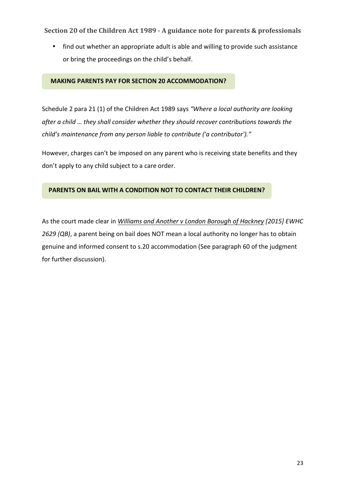• find out whether an appropriate adult is able and willing to provide such assistance or bring the proceedings on the child's behalf.

#### **MAKING PARENTS PAY FOR SECTION 20 ACCOMMODATION?**

Schedule 2 para 21 (1) of the Children Act 1989 says "Where a local authority are looking after a child ... they shall consider whether they should recover contributions towards the *child's* maintenance from any person liable to contribute ('a contributor')."

However, charges can't be imposed on any parent who is receiving state benefits and they don't apply to any child subject to a care order.

# **PARENTS ON BAIL WITH A CONDITION NOT TO CONTACT THEIR CHILDREN?**

As the court made clear in *Williams and Another v London Borough of Hackney [2015] EWHC* 2629 (QB), a parent being on bail does NOT mean a local authority no longer has to obtain genuine and informed consent to s.20 accommodation (See paragraph 60 of the judgment for further discussion).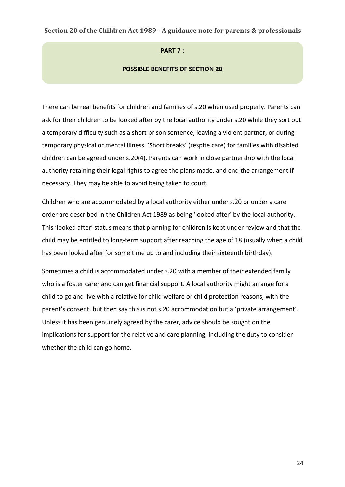#### **PART 7:**

#### **POSSIBLE BENEFITS OF SECTION 20**

There can be real benefits for children and families of s.20 when used properly. Parents can ask for their children to be looked after by the local authority under s.20 while they sort out a temporary difficulty such as a short prison sentence, leaving a violent partner, or during temporary physical or mental illness. 'Short breaks' (respite care) for families with disabled children can be agreed under s.20(4). Parents can work in close partnership with the local authority retaining their legal rights to agree the plans made, and end the arrangement if necessary. They may be able to avoid being taken to court.

Children who are accommodated by a local authority either under s.20 or under a care order are described in the Children Act 1989 as being 'looked after' by the local authority. This 'looked after' status means that planning for children is kept under review and that the child may be entitled to long-term support after reaching the age of 18 (usually when a child has been looked after for some time up to and including their sixteenth birthday).

Sometimes a child is accommodated under s.20 with a member of their extended family who is a foster carer and can get financial support. A local authority might arrange for a child to go and live with a relative for child welfare or child protection reasons, with the parent's consent, but then say this is not s.20 accommodation but a 'private arrangement'. Unless it has been genuinely agreed by the carer, advice should be sought on the implications for support for the relative and care planning, including the duty to consider whether the child can go home.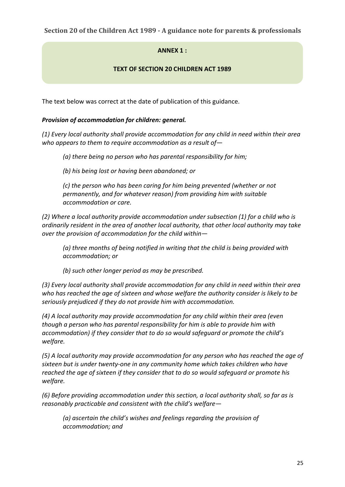# **ANNFX 1:**

# **TEXT OF SECTION 20 CHILDREN ACT 1989**

The text below was correct at the date of publication of this guidance.

## *Provision of accommodation for children: general.*

(1) Every local authority shall provide accommodation for any child in need within their area who appears to them to require accommodation as a result of-

(a) there being no person who has parental responsibility for him;

*(b) his being lost or having been abandoned; or*

*(c)* the person who has been caring for him being prevented (whether or not *permanently, and for whatever reason)* from providing him with suitable *accommodation or care.* 

(2) Where a local authority provide accommodation under subsection (1) for a child who is ordinarily resident in the area of another local authority, that other local authority may take *over the provision of accommodation for the child within-*

(a) three months of being notified in writing that the child is being provided with *accommodation; or* 

*(b)* such other longer period as may be prescribed.

(3) Every local authority shall provide accommodation for any child in need within their area who has reached the age of sixteen and whose welfare the authority consider is likely to be seriously prejudiced if they do not provide him with accommodation.

(4) A local authority may provide accommodation for any child within their area (even *though* a person who has parental responsibility for him is able to provide him with *accommodation)* if they consider that to do so would safeguard or promote the child's *welfare.*

(5) A local authority may provide accommodation for any person who has reached the age of sixteen but is under twenty-one in any community home which takes children who have reached the age of sixteen if they consider that to do so would safeguard or promote his *welfare.*

(6) Before providing accommodation under this section, a local authority shall, so far as is *reasonably practicable and consistent with the child's welfare-*

*(a)* ascertain the child's wishes and feelings regarding the provision of *accommodation; and*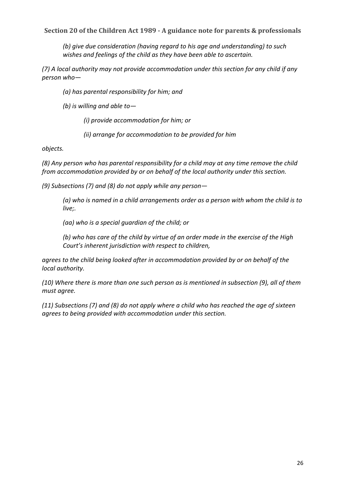*(b)* give due consideration (having regard to his age and understanding) to such wishes and feelings of the child as they have been able to ascertain.

(7) A local authority may not provide accommodation under this section for any child if any *person who—* 

*(a)* has parental responsibility for him; and

*(b)* is willing and able to-

*(i)* provide accommodation for him; or

*(ii)* arrange for accommodation to be provided for him

*objects.* 

(8) Any person who has parental responsibility for a child may at any time remove the child *from accommodation provided by or on behalf of the local authority under this section.* 

(9) Subsections (7) and (8) do not apply while any person-

*(a)* who is named in a child arrangements order as a person with whom the child is to live;.

*(aa) who is a special guardian of the child; or*

(b) who has care of the child by virtue of an order made in the exercise of the High *Court's inherent jurisdiction with respect to children,* 

agrees to the child being looked after in accommodation provided by or on behalf of the local authority.

(10) Where there is more than one such person as is mentioned in subsection (9), all of them *must agree.* 

(11) Subsections (7) and (8) do not apply where a child who has reached the age of sixteen agrees to being provided with accommodation under this section.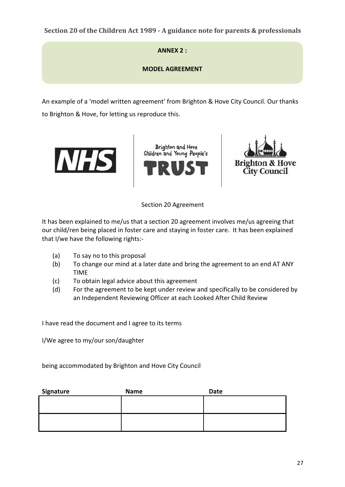**ANNFX 2 :** 

**MODEL AGREEMENT**

An example of a 'model written agreement' from Brighton & Hove City Council. Our thanks to Brighton & Hove, for letting us reproduce this.







Section 20 Agreement 

It has been explained to me/us that a section 20 agreement involves me/us agreeing that our child/ren being placed in foster care and staying in foster care. It has been explained that I/we have the following rights:-

- (a) To say no to this proposal
- (b) To change our mind at a later date and bring the agreement to an end AT ANY TIME
- (c) To obtain legal advice about this agreement
- (d) For the agreement to be kept under review and specifically to be considered by an Independent Reviewing Officer at each Looked After Child Review

I have read the document and I agree to its terms

I/We agree to my/our son/daughter

being accommodated by Brighton and Hove City Council

| <b>Name</b> | Date |
|-------------|------|
|             |      |
|             |      |
|             |      |
|             |      |
|             |      |